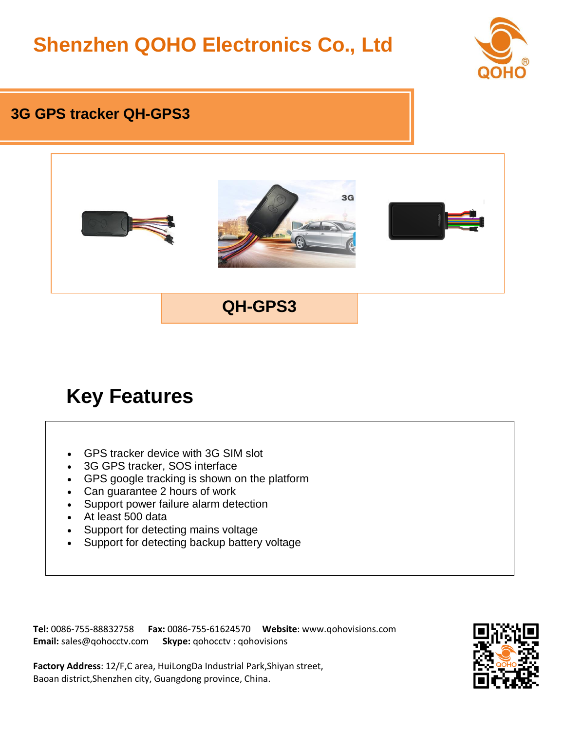# **Shenzhen QOHO Electronics Co., Ltd**



#### **3G GPS tracker QH-GPS3**



## **Key Features**

- GPS tracker device with 3G SIM slot
- 3G GPS tracker, SOS interface
- GPS google tracking is shown on the platform
- Can guarantee 2 hours of work
- Support power failure alarm detection
- At least 500 data
- Support for detecting mains voltage
- Support for detecting backup battery voltage

**Tel:** 0086-755-88832758 **Fax:** 0086-755-61624570 **Website**: www.qohovisions.com **Email:** sales@qohocctv.com **Skype:** qohocctv : qohovisions



**Factory Address**: 12/F,C area, HuiLongDa Industrial Park,Shiyan street, Baoan district,Shenzhen city, Guangdong province, China.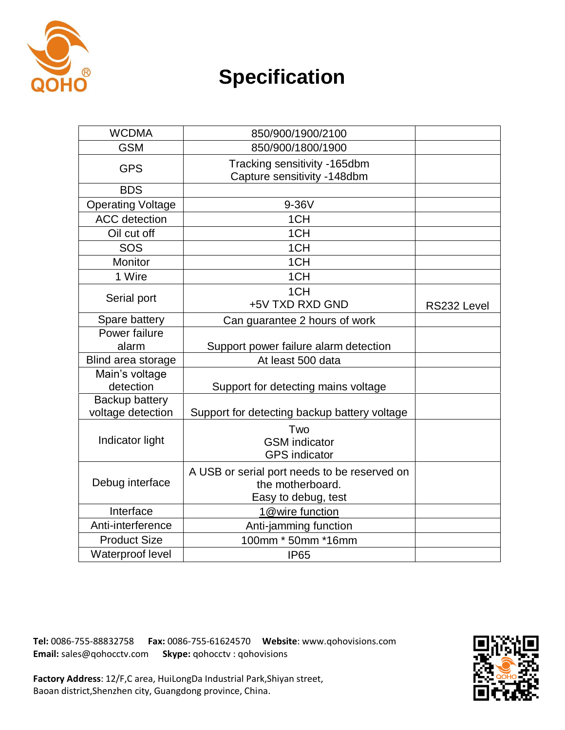

## **Specification**

| <b>WCDMA</b>                        | 850/900/1900/2100                                                                       |             |
|-------------------------------------|-----------------------------------------------------------------------------------------|-------------|
| <b>GSM</b>                          | 850/900/1800/1900                                                                       |             |
| <b>GPS</b>                          | Tracking sensitivity -165dbm<br>Capture sensitivity -148dbm                             |             |
| <b>BDS</b>                          |                                                                                         |             |
| <b>Operating Voltage</b>            | 9-36V                                                                                   |             |
| <b>ACC</b> detection                | 1CH                                                                                     |             |
| Oil cut off                         | 1CH                                                                                     |             |
| SOS                                 | 1CH                                                                                     |             |
| Monitor                             | 1CH                                                                                     |             |
| 1 Wire                              | 1CH                                                                                     |             |
| Serial port                         | 1CH<br>+5V TXD RXD GND                                                                  | RS232 Level |
| Spare battery                       | Can guarantee 2 hours of work                                                           |             |
| Power failure                       |                                                                                         |             |
| alarm                               | Support power failure alarm detection                                                   |             |
| Blind area storage                  | At least 500 data                                                                       |             |
| Main's voltage<br>detection         | Support for detecting mains voltage                                                     |             |
| Backup battery<br>voltage detection | Support for detecting backup battery voltage                                            |             |
| Indicator light                     | Two<br><b>GSM</b> indicator<br><b>GPS</b> indicator                                     |             |
| Debug interface                     | A USB or serial port needs to be reserved on<br>the motherboard.<br>Easy to debug, test |             |
| Interface                           | 1@wire function                                                                         |             |
| Anti-interference                   | Anti-jamming function                                                                   |             |
| <b>Product Size</b>                 | 100mm * 50mm *16mm                                                                      |             |
| Waterproof level                    | <b>IP65</b>                                                                             |             |

**Tel:** 0086-755-88832758 **Fax:** 0086-755-61624570 **Website**: www.qohovisions.com **Email:** sales@qohocctv.com **Skype:** qohocctv : qohovisions